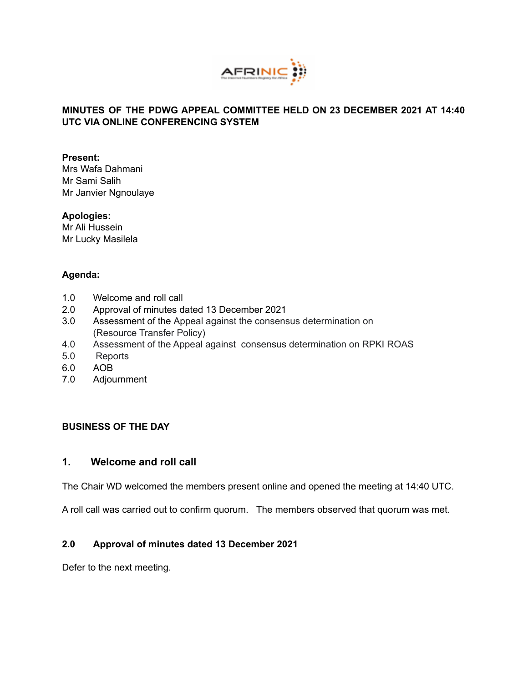

### **MINUTES OF THE PDWG APPEAL COMMITTEE HELD ON 23 DECEMBER 2021 AT 14:40 UTC VIA ONLINE CONFERENCING SYSTEM**

#### **Present:**

Mrs Wafa Dahmani Mr Sami Salih Mr Janvier Ngnoulaye

#### **Apologies:**

Mr Ali Hussein Mr Lucky Masilela

### **Agenda:**

- 1.0 Welcome and roll call
- 2.0 Approval of minutes dated 13 December 2021
- 3.0 Assessment of the Appeal against the consensus determination on (Resource Transfer Policy)
- 4.0 Assessment of the Appeal against consensus determination on RPKI ROAS
- 5.0 Reports
- 6.0 AOB
- 7.0 Adjournment

### **BUSINESS OF THE DAY**

### **1. Welcome and roll call**

The Chair WD welcomed the members present online and opened the meeting at 14:40 UTC.

A roll call was carried out to confirm quorum. The members observed that quorum was met.

### **2.0 Approval of minutes dated 13 December 2021**

Defer to the next meeting.